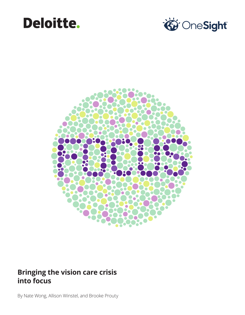## Deloitte.





### **Bringing the vision care crisis into focus**

By Nate Wong, Allison Winstel, and Brooke Prouty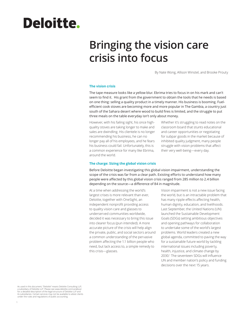# Deloitte.

### **Bringing the vision care crisis into focus**

By Nate Wong, Allison Winstel, and Brooke Prouty

#### **The vision crisis**

The tape measure looks like a yellow blur. Ebrima tries to focus in on his mark and can't seem to find it. His grant from the government to obtain the tools that he needs is based on one thing: selling a quality product in a timely manner. His business is booming. Fuelefficient cook stoves are becoming more and more popular in The Gambia, a country just south of the Sahara desert where wood to build fires is limited, and the struggle to put three meals on the table everyday isn't only about money.

However, with his failing sight, his once highquality stoves are taking longer to make and sales are dwindling. His clientele is no longer recommending his business, he can no longer pay all of his employees, and he fears his business could fail. Unfortunately, this is a common experience for many like Ebrima, around the world.

Whether it's struggling to read notes on the classroom board that stunts educational and career opportunities or negotiating for subpar goods in the market because of inhibited quality judgment, many people struggle with vision problems that affect their very well-being—every day.

#### **The charge: Sizing the global vision crisis**

Before Deloitte began investigating this global vision impairment, understanding the scope of the crisis was far from a clear path. Existing efforts to understand how many people were affected by this global vision crisis ranged from 285 million to 2.4 billion depending on the source—a difference of 84 in magnitude.

At a time when addressing the world's largest crises is more relevant than ever, Deloitte, together with OneSight, an independent nonprofit providing access to quality vision care and glasses to underserved communities worldwide, decided it was necessary to bring this issue into clearer focus (pun intended). A more accurate picture of the crisis will help align the private, public, and social sectors around a common understanding of the pervasive problem affecting the 1.1 billion people who need, but lack access to, a simple remedy to this crisis—glasses.

Vision impairment is not a new issue facing the world, but is an intractable problem that has many ripple effects affecting health, human dignity, education, and livelihoods. Last September, the United Nations (UN) launched the Sustainable Development Goals (SDGs) setting ambitious objectives and opening pathways for collaboration to undertake some of the world's largest problems. World leaders created a new global agenda, committed to paving the way for a sustainable future world by tackling international issues including poverty, health, injustice, and climate change by 2030.1 The seventeen SDGs will influence UN and member nation's policy and funding decisions over the next 15 years.

As used in this document, "Deloitte" means Deloitte Consulting LLP, a subsidiary of Deloitte LLP. Please see www.deloitte.com/us/about for a detailed description of the legal structure of Deloitte LLP and its subsidiaries. Certain services may not be available to attest clients under the rules and regulations of public accounting.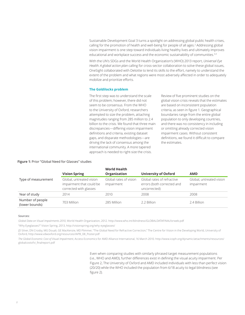Sustainable Development Goal 3 turns a spotlight on addressing global public health crises, calling for the promotion of health and well-being for people of all ages.<sup>2</sup> Addressing global vision impairment is one step toward individuals living healthy lives and ultimately improves educational and workplace success and the economic sustainability of communities.<sup>3,4</sup>

With the UN's SDGs and the World Health Organization's (WHO) 2013 report, *Universal Eye Health: A global action plan* calling for cross-sector collaboration to solve these global issues, OneSight collaborated with Deloitte to lend its skills to the effort, namely to understand the extent of the problem and what regions were most adversely affected in order to adequately mobilize and prioritize efforts.

#### **The Goldilocks problem**

The first step was to understand the scale of this problem; however, there did not seem to be consensus. From the WHO to the University of Oxford, researchers attempted to size the problem, attaching magnitudes ranging from 285 million to 2.4 billion to the crisis. We found that three main discrepancies—differing vision impairment definitions and criteria, existing dataset gaps, and disparate methodologies—are driving the lack of consensus among the international community. A more tapered approach is needed to right-size the crisis.

Review of five prominent studies on the global vision crisis reveals that the estimates are based on inconsistent population criteria, as seen in figure 1. Geographical boundaries range from the entire global population to only developing countries, and there was no consistency in including or omitting already corrected vision impairment cases. Without consistent definitions, we found it difficult to compare the estimates.

#### **Figure 1:** Prior "Global Need for Glasses" studies

|                                    |                                                                                | <b>World Health</b>                  |                                                                          |                                        |
|------------------------------------|--------------------------------------------------------------------------------|--------------------------------------|--------------------------------------------------------------------------|----------------------------------------|
|                                    | <b>Vision Spring</b>                                                           | Organization                         | <b>University of Oxford</b>                                              | <b>AMD</b>                             |
| Type of measurement                | Global, untreated vision<br>impairment that could be<br>corrected with glasses | Global rates of vision<br>impairment | Global rates of refractive<br>errors (both corrected and<br>uncorrected) | Global, untreated vision<br>impairment |
| Year of study                      | 2014                                                                           | 2010                                 | 2008                                                                     | 2008                                   |
| Number of people<br>(lower bounds) | 703 Million                                                                    | 285 Million                          | 2.2 Billion                                                              | 2.4 Billion                            |

#### **Sources:**

*Global Data on Visual Impairments 2010*, World Health Organization, 2012. http://www.who.int/blindness/GLOBALDATAFINALforweb.pdf "Why Eyeglasses?" Vision Spring, 2013, http://visionspring.org/why-eyeglasses/

JD Silver, DN Crosby, MG Douali, GE MacKenzie, MD Plimmer, "The Global Need for Refractive Correction," The Centre for Vision in the Developing World, University of Oxford, http://www.vdwoxford.org/resources/IAPB\_08\_Poster.pdf

*The Global Economic Cost of Visual Impairment,* Access Economics for AMD Alliance International, 16 March 2010. http://www.icoph.org/dynamic/attachments/resources/ globalcostofvi\_finalreport.pdf

> Even when comparing studies with similarly phrased target measurement populations (i.e., WHO and AMD), further differences exist in defining the visual acuity impairment. Per Figure 2, The University of Oxford and AMD included individuals with less than perfect vision (20/20) while the WHO included the population from 6/18 acuity to legal blindness (see figure 2).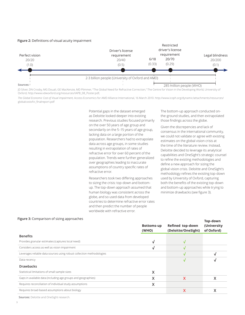#### **Figure 2:** Definitions of visual acuity impairment



JD Silver, DN Crosby, MG Douali, GE MacKenzie, MD Plimmer, "The Global Need for Refractive Correction," The Centre for Vision in the Developing World, University of Oxford, http://www.vdwoxford.org/resources/IAPB\_08\_Poster.pdf,

The Global Economic Cost of Visual Impairment, Access Economics for AMD Alliance International, 16 March 2010. http://www.icoph.org/dynamic/attachments/resources/ globalcostofvi\_finalreport.pdf

> Potential gaps in the dataset emerged as Deloitte looked deeper into existing research. Previous studies focused primarily on the over 50 years of age group and secondarily on the 5–15 years of age group, lacking data on a large portion of the population. Researchers had to extrapolate data across age groups, in some studies resulting in extrapolation of rates of refractive error for over 60 percent of the population. Trends were further generalized over geographies leading to inaccurate assumptions of country specific rates of refractive error.

> Researchers took two differing approaches to sizing the crisis: top-down and bottomup. The top-down approach assumed that human biology was consistent across the globe, and so used data from developed countries to determine refractive error rates and then predict the number of people worldwide with refractive error.

The bottom-up approach conducted onthe-ground studies, and then extrapolated those findings across the globe.

Given the discrepencies and lack of consensus in the international community, we could not validate or agree with existing estimates on the global vision crisis at the time of the literature review. Instead, Deloitte decided to leverage its analytical capabilities and OneSight's strategic counsel to refine the existing methodologies and define a new approach for sizing the global vision crisis. Deloitte and OneSight's methodology refines the existing top-down used by University of Oxford, capturing both the benefits of the existing top-down and bottom-up approaches while trying to minimize drawbacks (see figure 3).

| <b>Figure 3: Comparison of sizing approaches</b>                      |                            |                                         | Top-down                  |
|-----------------------------------------------------------------------|----------------------------|-----------------------------------------|---------------------------|
|                                                                       | <b>Bottoms-up</b><br>(WHO) | Refined top-down<br>(Deloitte/OneSight) | (University<br>of Oxford) |
| <b>Benefits</b>                                                       |                            |                                         |                           |
| Provides granular estimates (captures local need)                     | V                          | v                                       |                           |
| Considers access as well as vision impairment                         |                            |                                         |                           |
| Leverages reliable data sources using robust collection methodologies |                            |                                         |                           |
| Data recency                                                          |                            |                                         |                           |
| <b>Drawbacks</b>                                                      |                            |                                         |                           |
| Statistical limitations of small sample sizes                         | X                          |                                         |                           |
| Gaps in available data (including age groups and geographies)         | X                          | X                                       | x                         |
| Requires reconciliation of individual study assumptions               | X                          |                                         |                           |
| Requires broad-based assumptions about biology                        |                            | X                                       | X                         |

**Sources:** Deloitte and OneSight research.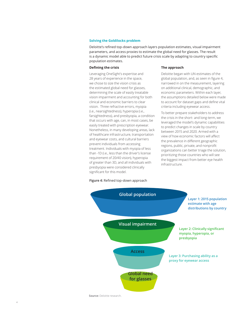#### **Solving the Goldilocks problem**

Deloitte's refined top-down approach layers population estimates, visual impairment parameters, and access proxies to estimate the global need for glasses. The result is a dynamic model able to predict future crisis scale by adapting to country specific population estimates.

#### **Defining the crisis**

Leveraging OneSight's expertise and 28 years of experience in the space, we chose to size the vision crisis as the estimated global need for glasses, determining the scale of easily treatable vision impairment and accounting for both clinical and economic barriers to clear vision. Three refractive errors, myopia (i.e., nearsightedness), hyperopia (i.e., farsightedness), and presbyopia, a condition that occurs with age, can, in most cases, be easily treated with prescription eyewear. Nonetheless, in many developing areas, lack of healthcare infrastructure, transportation and eyewear costs, and cultural barriers prevent individuals from accessing treatment. Individuals with myopia of less than -1D (i.e., less than the driver's license requirement of 20/40 vision), hyperopia of greater than 3D, and all individuals with presbyopia were considered clinically significant for this model.

#### **Figure 4:** Refined top-down approach

#### **The approach**

Deloitte began with UN estimates of the global population, and, as seen in figure 4, narrowed in on the measurement, layering on additional clinical, demographic, and economic parameters. Within each layer, the assumptions detailed below were made to account for dataset gaps and define vital criteria including eyewear access.

To better prepare stakeholders to address the crisis in the short- and long-term, we leveraged the model's dynamic capabilities to predict changes in scale by country between 2015 and 2020. Armed with a view of how economic factors will affect the prevalence in different geographic regions, public, private, and nonprofit organizations can better triage the solution, prioritizing those countries who will see the biggest impact from better eye health infrastructure.



**Source:** Deloitte research.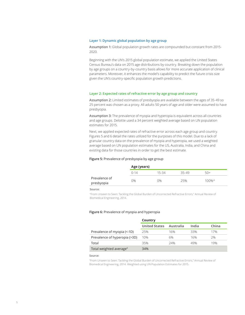#### **Layer 1: Dynamic global population by age group**

Assumption 1: Global population growth rates are compounded but constant from 2015- 2020.

Beginning with the UN's 2015 global population estimate, we applied the United States Census Bureau's data on 2015 age distributions by country. Breaking down the population by age groups on a country-by-country basis allows for more accurate application of clinical parameters. Moreover, it enhances the model's capability to predict the future crisis size given the UN's country-specific population growth predictions.

#### **Layer 2: Expected rates of refractive error by age group and country**

Assumption 2: Limited estimates of presbyopia are available between the ages of 35-49 so 25 percent was chosen as a proxy. All adults 50 years of age and older were assumed to have presbyopia.

Assumption 3: The prevalence of myopia and hyperopia is equivalent across all countries and age groups. Deloitte used a 34 percent weighted average based on UN population estimates for 2015.

Next, we applied expected rates of refractive error across each age group and country. Figures 5 and 6 detail the rates utilized for the purposes of this model. Due to a lack of granular country data on the prevalence of myopia and hyperopia, we used a weighted average based on UN population estimates for the US, Australia, India, and China and existing data for those countries in order to get the best estimate.

#### **Figure 5:** Prevalence of presbyopia by age group

|                             | Age (years) |       |       |           |
|-----------------------------|-------------|-------|-------|-----------|
|                             | $0 - 14$    | 15-34 | 35-49 | 50+       |
| Prevalence of<br>presbyopia | 0%          | 0%    | 25%   | $100\%$ ^ |

**Source:**

"From Unseen to Seen: Tackling the Global Burden of Uncorrected Refractive Errors," Annual Review of Biomedical Engineering, 2014.

#### **Figure 6:** Prevalence of myopia and hyperopia

|                                     | Country              |           |       |       |
|-------------------------------------|----------------------|-----------|-------|-------|
|                                     | <b>United States</b> | Australia | India | China |
| Prevalence of myopia (<-1D)         | 25%                  | 16%       | 33%   | 17%   |
| Prevalence of hyperopia (>3D)       | 10%                  | 6%        | 16%   | 2%    |
| Total                               | 35%                  | 24%       | 49%   | 19%   |
| Total weighted average <sup>6</sup> | 34%                  |           |       |       |

#### **Source:**

"From Unseen to Seen: Tackling the Global Burden of Uncorrected Refractive Errors," Annual Review of Biomedical Engineering, 2014. Weighted using UN Population Estimates for 2015.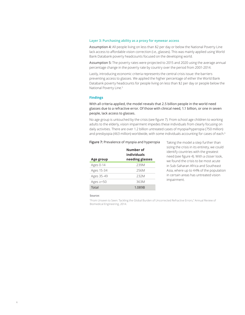#### **Layer 3: Purchasing ability as a proxy for eyewear access**

Assumption 4: All people living on less than \$2 per day or below the National Poverty Line lack access to affordable vision correction (i.e., glasses). This was mainly applied using World Bank Databank poverty headcounts focused on the developing world.

Assumption 5: The poverty rates were projected to 2015 and 2020 using the average annual percentage change in the poverty rate by country over the period from 2001-2014.

Lastly, introducing economic criteria represents the central crisis issue: the barriers preventing access to glasses. We applied the higher percentage of either the World Bank Databank poverty headcounts for people living on less than \$2 per day or people below the National Poverty Line.5

#### **Findings**

With all criteria applied, the model reveals that 2.5 billion people in the world need glasses due to a refractive error. Of those with clinical need, 1.1 billion, or one in seven people, lack access to glasses.

No age group is untouched by the crisis (see figure 7). From school age children to working adults to the elderly, vision impairment impedes these individuals from clearly focusing on daily activities. There are over 1.2 billion untreated cases of myopia/hyperopia (750 million) and presbyopia (463 million) worldwide, with some individuals accounting for cases of each.<sup>6</sup>

#### **Figure 7:** Prevalence of myopia and hyperopia

| Age group      | Number of<br>individuals<br>needing glasses |
|----------------|---------------------------------------------|
| Ages 0-14      | 239M                                        |
| Ages 15-34     | 256M                                        |
| Ages 35-49     | 232M                                        |
| Ages $\ge$ =50 | 363M                                        |
| Total          | 1.089B                                      |

Taking the model a step further than sizing the crisis in its entirety, we could identify countries with the greatest need (see figure 4). With a closer look, we found the crisis to be most acute in Sub-Saharan Africa and Southeast Asia, where up to 44% of the population in certain areas has untreated vision impairment.

#### **Source:**

"From Unseen to Seen: Tackling the Global Burden of Uncorrected Refractive Errors," Annual Review of Biomedical Engineering, 2014.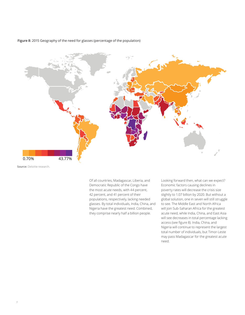**Figure 8:** 2015 Geography of the need for glasses (percentage of the population)



**Source:** Deloitte research.

Of all countries, Madagascar, Liberia, and Democratic Republic of the Congo have Bernderdie Republie of the eorigo nave<br>the most acute needs, with 44 percent, 42 percent, and 41 percent of their populations, respectively, lacking needed glasses. By total individuals, India, China, and Nigeria have the greatest need. Combined, they comprise nearly half a billion people.

Looking forward then, what can we expect? Economic factors causing declines in poverty rates will decrease the crisis size slightly to 1.07 billion by 2020. But without a global solution, one in seven will still struggle to see. The Middle East and North Africa will join Sub-Saharan Africa for the greatest acute need, while India, China, and East Asia will see decreases in total percentage lacking access (see figure 8). India, China, and Nigeria will continue to represent the largest total number of individuals, but Timor-Leste may pass Madagascar for the greatest acute need.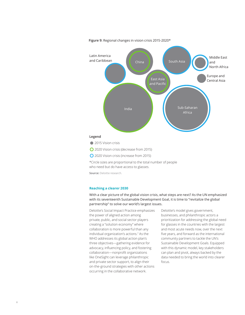

**Figure 9:** Regional changes in vision crisis 2015-2020\*

\*Circle sizes are proportional to the total number of people who need but do have access to glasses.

**Source:** Deloitte research.

#### **Reaching a clearer 2030**

With a clear picture of the global vision crisis, what steps are next? As the UN emphasized with its seventeenth Sustainable Development Goal, it is time to "revitalize the global partnership" to solve our world's largest issues.

Deloitte's Social Impact Practice emphasizes the power of aligned action among private, public, and social sector players creating a "solution economy" where collaboration is more powerful than any individual organization's actions.7 As the WHO addresses its global action plan's three objectives—gathering evidence for advocacy, influencing policy, and fostering collaboration—nonprofit organizations like OneSight can leverage philanthropic and private sector support, to align their on-the-ground strategies with other actions occurring in the collaborative network.

Deloitte's model gives government, businesses, and philanthropic actors a prioritization for addressing the global need for glasses in the countries with the largest and most acute needs now, over the next five years, and forward as the international community partners to tackle the UN's Sustainable Development Goals. Equipped with this dynamic model, key stakeholders can plan and pivot, always backed by the data needed to bring the world into clearer focus.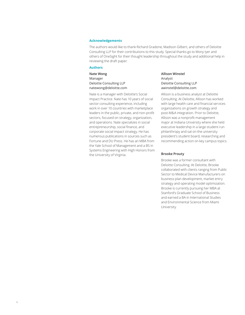#### **Acknowledgements**

The authors would like to thank Richard Gradone, Madison Gilbert, and others of Deloitte Consulting LLP for their contributions to this study. Special thanks go to Mony Iyer and others of OneSight for their thought leadership throughout the study and additional help in reviewing the draft paper.

#### **Authors**

**Nate Wong** Manager Deloitte Consulting LLP natewong@deloitte.com

Nate is a manager with Deloitte's Social Impact Practice. Nate has 10 years of social sector consulting experience, including work in over 10 countries with marketplace leaders in the public, private, and non-profit sectors, focused on strategy, organization, and operations. Nate specializes in social entrepreneurship, social finance, and corporate social impact strategy. He has numerous publications in sources such as Fortune and DU Press. He has an MBA from the Yale School of Management and a BS in Systems Engineering with High Honors from the University of Virginia.

**Allison Winstel** Analyst Deloitte Consulting LLP awinstel@deloitte.com

Allison is a business analyst at Deloitte Consulting. At Deloitte, Allison has worked with large health care and financial services organizations on growth strategy and post-M&A integration. Prior to Deloitte, Allison was a nonprofit management major at Indiana University where she held executive leadership in a large student-run philanthropy and sat on the university president's student board, researching and recommending action on key campus topics.

#### **Brooke Prouty**

Brooke was a former consultant with Deloitte Consulting. At Deloitte, Brooke collaborated with clients ranging from Public Sector to Medical Device Manufacturers on business plan development, market entry strategy and operating model optimization. Brooke is currently pursuing her MBA at Stanford's Graduate School of Business and earned a BA in International Studies and Environmental Science from Miami University.